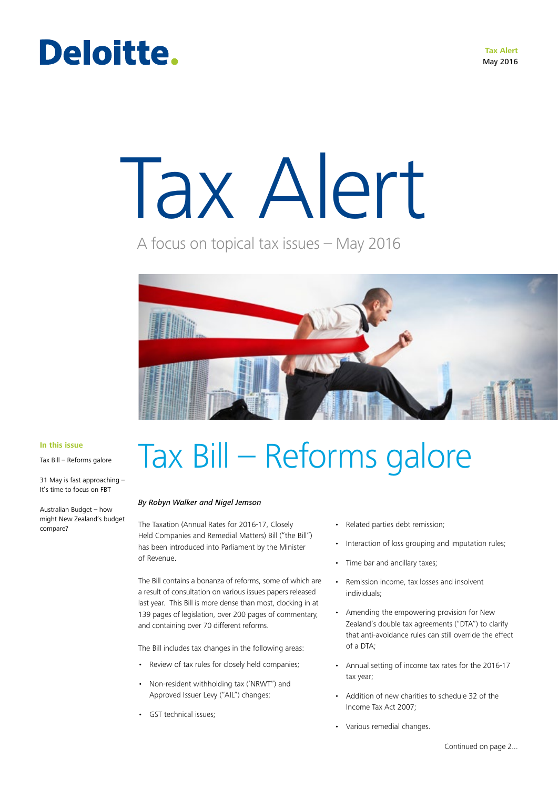## Deloitte.

# Tax Alert

A focus on topical tax issues – May 2016



**In this issue**

Tax Bill – Reforms galore

31 May is fast approaching – It's time to focus on FBT

Australian Budget – how might New Zealand's budget compare?

## Tax Bill – Reforms galore

#### *By Robyn Walker and Nigel Jemson*

The Taxation (Annual Rates for 2016-17, Closely Held Companies and Remedial Matters) Bill ("the Bill") has been introduced into Parliament by the Minister of Revenue.

The Bill contains a bonanza of reforms, some of which are a result of consultation on various issues papers released last year. This Bill is more dense than most, clocking in at 139 pages of legislation, over 200 pages of commentary, and containing over 70 different reforms.

The Bill includes tax changes in the following areas:

- Review of tax rules for closely held companies;
- Non-resident withholding tax ('NRWT") and Approved Issuer Levy ("AIL") changes;
- GST technical issues;
- Related parties debt remission;
- Interaction of loss grouping and imputation rules;
- Time bar and ancillary taxes;
- Remission income, tax losses and insolvent individuals;
- Amending the empowering provision for New Zealand's double tax agreements ("DTA") to clarify that anti-avoidance rules can still override the effect of a DTA;
- Annual setting of income tax rates for the 2016-17 tax year;
- Addition of new charities to schedule 32 of the Income Tax Act 2007;
- Various remedial changes.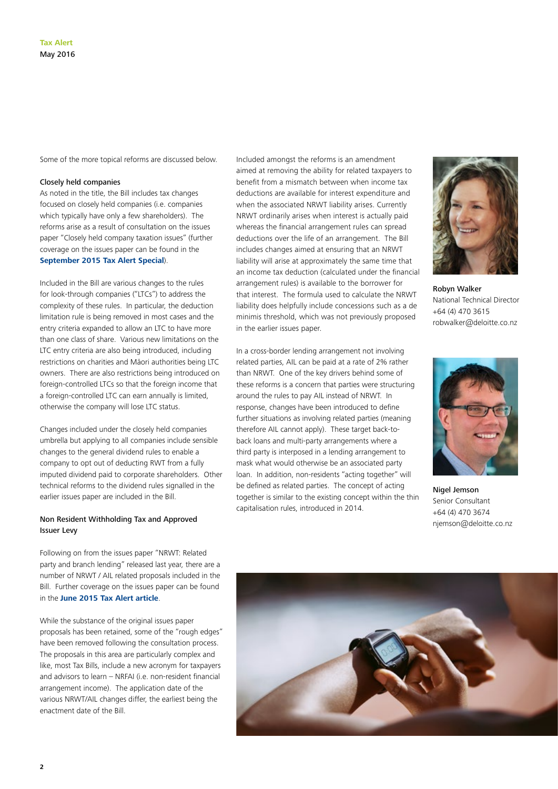Some of the more topical reforms are discussed below.

#### Closely held companies

As noted in the title, the Bill includes tax changes focused on closely held companies (i.e. companies which typically have only a few shareholders). The reforms arise as a result of consultation on the issues paper "Closely held company taxation issues" (further coverage on the issues paper can be found in the **[September 2015 Tax Alert Special](http://www2.deloitte.com/nz/en/pages/tax-alerts/articles/closely-held-companies-officials-issues-paper-released.html)**).

Included in the Bill are various changes to the rules for look-through companies ("LTCs") to address the complexity of these rules. In particular, the deduction limitation rule is being removed in most cases and the entry criteria expanded to allow an LTC to have more than one class of share. Various new limitations on the LTC entry criteria are also being introduced, including restrictions on charities and Māori authorities being LTC owners. There are also restrictions being introduced on foreign-controlled LTCs so that the foreign income that a foreign-controlled LTC can earn annually is limited, otherwise the company will lose LTC status.

Changes included under the closely held companies umbrella but applying to all companies include sensible changes to the general dividend rules to enable a company to opt out of deducting RWT from a fully imputed dividend paid to corporate shareholders. Other technical reforms to the dividend rules signalled in the earlier issues paper are included in the Bill.

#### Non Resident Withholding Tax and Approved Issuer Levy

Following on from the issues paper "NRWT: Related party and branch lending" released last year, there are a number of NRWT / AIL related proposals included in the Bill. Further coverage on the issues paper can be found in the **[June 2015 Tax Alert article](http://www2.deloitte.com/nz/en/pages/tax-alerts/articles/government-issues-paper-on-NRWT.html)**.

While the substance of the original issues paper proposals has been retained, some of the "rough edges" have been removed following the consultation process. The proposals in this area are particularly complex and like, most Tax Bills, include a new acronym for taxpayers and advisors to learn – NRFAI (i.e. non-resident financial arrangement income). The application date of the various NRWT/AIL changes differ, the earliest being the enactment date of the Bill.

Included amongst the reforms is an amendment aimed at removing the ability for related taxpayers to benefit from a mismatch between when income tax deductions are available for interest expenditure and when the associated NRWT liability arises. Currently NRWT ordinarily arises when interest is actually paid whereas the financial arrangement rules can spread deductions over the life of an arrangement. The Bill includes changes aimed at ensuring that an NRWT liability will arise at approximately the same time that an income tax deduction (calculated under the financial arrangement rules) is available to the borrower for that interest. The formula used to calculate the NRWT liability does helpfully include concessions such as a de minimis threshold, which was not previously proposed in the earlier issues paper.

In a cross-border lending arrangement not involving

capitalisation rules, introduced in 2014.

Robyn Walker National Technical Director +64 (4) 470 3615 robwalker@deloitte.co.nz

Nigel Jemson related parties, AIL can be paid at a rate of 2% rather than NRWT. One of the key drivers behind some of these reforms is a concern that parties were structuring around the rules to pay AIL instead of NRWT. In response, changes have been introduced to define further situations as involving related parties (meaning therefore AIL cannot apply). These target back-toback loans and multi-party arrangements where a third party is interposed in a lending arrangement to mask what would otherwise be an associated party loan. In addition, non-residents "acting together" will be defined as related parties. The concept of acting together is similar to the existing concept within the thin



Senior Consultant +64 (4) 470 3674 njemson@deloitte.co.nz

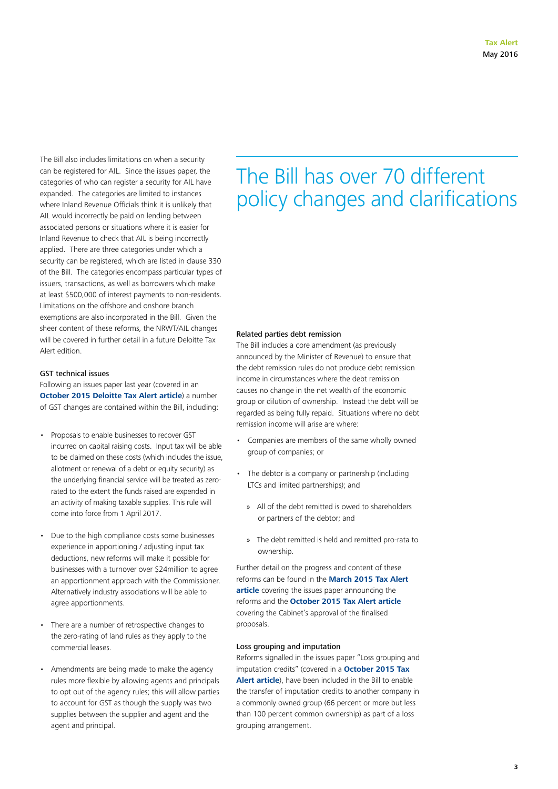The Bill also includes limitations on when a security can be registered for AIL. Since the issues paper, the categories of who can register a security for AIL have expanded. The categories are limited to instances where Inland Revenue Officials think it is unlikely that AIL would incorrectly be paid on lending between associated persons or situations where it is easier for Inland Revenue to check that AIL is being incorrectly applied. There are three categories under which a security can be registered, which are listed in clause 330 of the Bill. The categories encompass particular types of issuers, transactions, as well as borrowers which make at least \$500,000 of interest payments to non-residents. Limitations on the offshore and onshore branch exemptions are also incorporated in the Bill. Given the sheer content of these reforms, the NRWT/AIL changes will be covered in further detail in a future Deloitte Tax Alert edition.

#### GST technical issues

Following an issues paper last year (covered in an **[October 2015 Deloitte Tax Alert article](http://www2.deloitte.com/nz/en/pages/tax-alerts/articles/government-issues-paper-on-NRWT.html)**) a number of GST changes are contained within the Bill, including:

- Proposals to enable businesses to recover GST incurred on capital raising costs. Input tax will be able to be claimed on these costs (which includes the issue, allotment or renewal of a debt or equity security) as the underlying financial service will be treated as zerorated to the extent the funds raised are expended in an activity of making taxable supplies. This rule will come into force from 1 April 2017.
- Due to the high compliance costs some businesses experience in apportioning / adjusting input tax deductions, new reforms will make it possible for businesses with a turnover over \$24million to agree an apportionment approach with the Commissioner. Alternatively industry associations will be able to agree apportionments.
- There are a number of retrospective changes to the zero-rating of land rules as they apply to the commercial leases.
- Amendments are being made to make the agency rules more flexible by allowing agents and principals to opt out of the agency rules; this will allow parties to account for GST as though the supply was two supplies between the supplier and agent and the agent and principal.

### The Bill has over 70 different policy changes and clarifications

#### Related parties debt remission

The Bill includes a core amendment (as previously announced by the Minister of Revenue) to ensure that the debt remission rules do not produce debt remission income in circumstances where the debt remission causes no change in the net wealth of the economic group or dilution of ownership. Instead the debt will be regarded as being fully repaid. Situations where no debt remission income will arise are where:

- Companies are members of the same wholly owned group of companies; or
- The debtor is a company or partnership (including LTCs and limited partnerships); and
	- » All of the debt remitted is owed to shareholders or partners of the debtor; and
	- » The debt remitted is held and remitted pro-rata to ownership.

Further detail on the progress and content of these reforms can be found in the **[March 2015 Tax Alert](http://www2.deloitte.com/nz/en/pages/tax-alerts/articles/consultation-sought-on-related-party-debt-remission.html)  [article](http://www2.deloitte.com/nz/en/pages/tax-alerts/articles/consultation-sought-on-related-party-debt-remission.html)** covering the issues paper announcing the reforms and the **[October 2015 Tax Alert article](http://www2.deloitte.com/nz/en/pages/tax-alerts/articles/update-on-debt-remission-proposals.html)** covering the Cabinet's approval of the finalised proposals.

#### Loss grouping and imputation

Reforms signalled in the issues paper "Loss grouping and imputation credits" (covered in a **[October 2015 Tax](http://www2.deloitte.com/nz/en/pages/tax-alerts/articles/the-interaction-of-loss-grouping-and-imputation-credits.html)  [Alert article](http://www2.deloitte.com/nz/en/pages/tax-alerts/articles/the-interaction-of-loss-grouping-and-imputation-credits.html)**), have been included in the Bill to enable the transfer of imputation credits to another company in a commonly owned group (66 percent or more but less than 100 percent common ownership) as part of a loss grouping arrangement.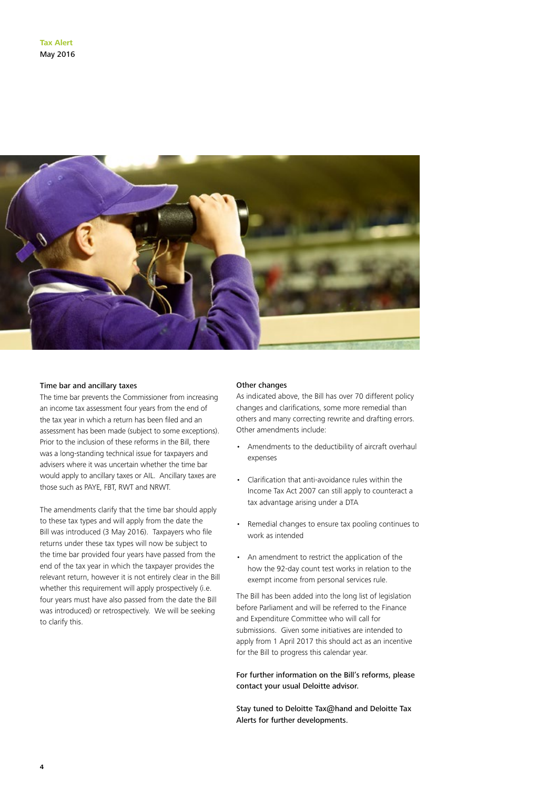

#### Time bar and ancillary taxes

The time bar prevents the Commissioner from increasing an income tax assessment four years from the end of the tax year in which a return has been filed and an assessment has been made (subject to some exceptions). Prior to the inclusion of these reforms in the Bill, there was a long-standing technical issue for taxpayers and advisers where it was uncertain whether the time bar would apply to ancillary taxes or AIL. Ancillary taxes are those such as PAYE, FBT, RWT and NRWT.

The amendments clarify that the time bar should apply to these tax types and will apply from the date the Bill was introduced (3 May 2016). Taxpayers who file returns under these tax types will now be subject to the time bar provided four years have passed from the end of the tax year in which the taxpayer provides the relevant return, however it is not entirely clear in the Bill whether this requirement will apply prospectively (i.e. four years must have also passed from the date the Bill was introduced) or retrospectively. We will be seeking to clarify this.

#### Other changes

As indicated above, the Bill has over 70 different policy changes and clarifications, some more remedial than others and many correcting rewrite and drafting errors. Other amendments include:

- Amendments to the deductibility of aircraft overhaul expenses
- Clarification that anti-avoidance rules within the Income Tax Act 2007 can still apply to counteract a tax advantage arising under a DTA
- Remedial changes to ensure tax pooling continues to work as intended
- An amendment to restrict the application of the how the 92-day count test works in relation to the exempt income from personal services rule.

The Bill has been added into the long list of legislation before Parliament and will be referred to the Finance and Expenditure Committee who will call for submissions. Given some initiatives are intended to apply from 1 April 2017 this should act as an incentive for the Bill to progress this calendar year.

For further information on the Bill's reforms, please contact your usual Deloitte advisor.

Stay tuned to Deloitte Tax@hand and Deloitte Tax Alerts for further developments.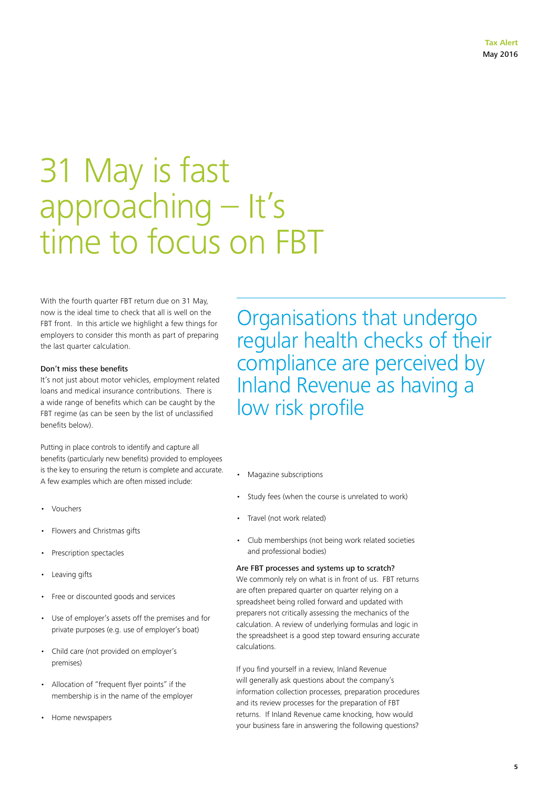## 31 May is fast approaching – It's time to focus on FBT

With the fourth quarter FBT return due on 31 May, now is the ideal time to check that all is well on the FBT front. In this article we highlight a few things for employers to consider this month as part of preparing the last quarter calculation.

#### Don't miss these benefits

It's not just about motor vehicles, employment related loans and medical insurance contributions. There is a wide range of benefits which can be caught by the FBT regime (as can be seen by the list of unclassified benefits below).

Putting in place controls to identify and capture all benefits (particularly new benefits) provided to employees is the key to ensuring the return is complete and accurate. A few examples which are often missed include:

- Vouchers
- Flowers and Christmas gifts
- Prescription spectacles
- Leaving gifts
- Free or discounted goods and services
- Use of employer's assets off the premises and for private purposes (e.g. use of employer's boat)
- Child care (not provided on employer's premises)
- Allocation of "frequent flyer points" if the membership is in the name of the employer
- Home newspapers

Organisations that undergo regular health checks of their compliance are perceived by Inland Revenue as having a low risk profile

- Magazine subscriptions
- Study fees (when the course is unrelated to work)
- Travel (not work related)
- Club memberships (not being work related societies and professional bodies)

#### Are FBT processes and systems up to scratch?

We commonly rely on what is in front of us. FBT returns are often prepared quarter on quarter relying on a spreadsheet being rolled forward and updated with preparers not critically assessing the mechanics of the calculation. A review of underlying formulas and logic in the spreadsheet is a good step toward ensuring accurate calculations.

If you find yourself in a review, Inland Revenue will generally ask questions about the company's information collection processes, preparation procedures and its review processes for the preparation of FBT returns. If Inland Revenue came knocking, how would your business fare in answering the following questions?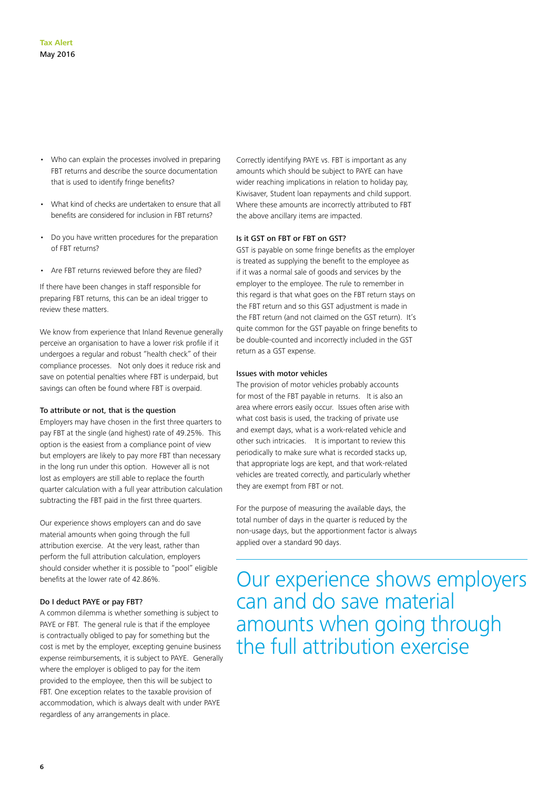- Who can explain the processes involved in preparing FBT returns and describe the source documentation that is used to identify fringe benefits?
- What kind of checks are undertaken to ensure that all benefits are considered for inclusion in FBT returns?
- Do you have written procedures for the preparation of FBT returns?
- Are FBT returns reviewed before they are filed?

If there have been changes in staff responsible for preparing FBT returns, this can be an ideal trigger to review these matters.

We know from experience that Inland Revenue generally perceive an organisation to have a lower risk profile if it undergoes a regular and robust "health check" of their compliance processes. Not only does it reduce risk and save on potential penalties where FBT is underpaid, but savings can often be found where FBT is overpaid.

#### To attribute or not, that is the question

Employers may have chosen in the first three quarters to pay FBT at the single (and highest) rate of 49.25%. This option is the easiest from a compliance point of view but employers are likely to pay more FBT than necessary in the long run under this option. However all is not lost as employers are still able to replace the fourth quarter calculation with a full year attribution calculation subtracting the FBT paid in the first three quarters.

Our experience shows employers can and do save material amounts when going through the full attribution exercise. At the very least, rather than perform the full attribution calculation, employers should consider whether it is possible to "pool" eligible benefits at the lower rate of 42.86%.

#### Do I deduct PAYE or pay FBT?

A common dilemma is whether something is subject to PAYE or FBT. The general rule is that if the employee is contractually obliged to pay for something but the cost is met by the employer, excepting genuine business expense reimbursements, it is subject to PAYE. Generally where the employer is obliged to pay for the item provided to the employee, then this will be subject to FBT. One exception relates to the taxable provision of accommodation, which is always dealt with under PAYE regardless of any arrangements in place.

Correctly identifying PAYE vs. FBT is important as any amounts which should be subject to PAYE can have wider reaching implications in relation to holiday pay, Kiwisaver, Student loan repayments and child support. Where these amounts are incorrectly attributed to FBT the above ancillary items are impacted.

#### Is it GST on FBT or FBT on GST?

GST is payable on some fringe benefits as the employer is treated as supplying the benefit to the employee as if it was a normal sale of goods and services by the employer to the employee. The rule to remember in this regard is that what goes on the FBT return stays on the FBT return and so this GST adjustment is made in the FBT return (and not claimed on the GST return). It's quite common for the GST payable on fringe benefits to be double-counted and incorrectly included in the GST return as a GST expense.

#### Issues with motor vehicles

The provision of motor vehicles probably accounts for most of the FBT payable in returns. It is also an area where errors easily occur. Issues often arise with what cost basis is used, the tracking of private use and exempt days, what is a work-related vehicle and other such intricacies. It is important to review this periodically to make sure what is recorded stacks up, that appropriate logs are kept, and that work-related vehicles are treated correctly, and particularly whether they are exempt from FBT or not.

For the purpose of measuring the available days, the total number of days in the quarter is reduced by the non-usage days, but the apportionment factor is always applied over a standard 90 days.

Our experience shows employers can and do save material amounts when going through the full attribution exercise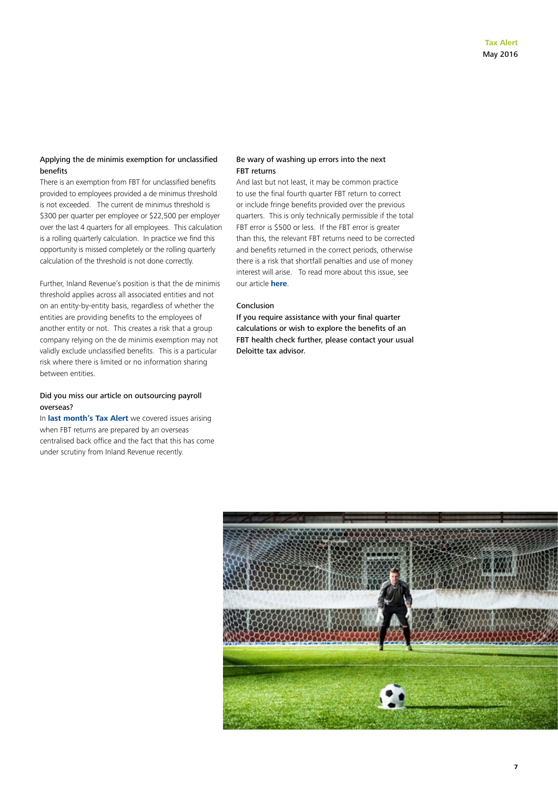#### Applying the de minimis exemption for unclassified benefits

There is an exemption from FBT for unclassified benefits provided to employees provided a de minimus threshold is not exceeded. The current de minimus threshold is \$300 per quarter per employee or \$22,500 per employer over the last 4 quarters for all employees. This calculation is a rolling quarterly calculation. In practice we find this opportunity is missed completely or the rolling quarterly calculation of the threshold is not done correctly.

Further, Inland Revenue's position is that the de minimis threshold applies across all associated entities and not on an entity-by-entity basis, regardless of whether the entities are providing benefits to the employees of another entity or not. This creates a risk that a group company relying on the de minimis exemption may not validly exclude unclassified benefits. This is a particular risk where there is limited or no information sharing between entities.

#### Did you miss our article on outsourcing payroll overseas?

In **[last month's Tax Alert](http://www2.deloitte.com/nz/en/pages/tax-alerts/articles/inland-revenue-outsourcing-payroll-compliance-overseas-beware-the-risks.html)** we covered issues arising when FBT returns are prepared by an overseas centralised back office and the fact that this has come under scrutiny from Inland Revenue recently.

#### Be wary of washing up errors into the next FBT returns

And last but not least, it may be common practice to use the final fourth quarter FBT return to correct or include fringe benefits provided over the previous quarters. This is only technically permissible if the total FBT error is \$500 or less. If the FBT error is greater than this, the relevant FBT returns need to be corrected and benefits returned in the correct periods, otherwise there is a risk that shortfall penalties and use of money interest will arise. To read more about this issue, see our article **[here](http://www2.deloitte.com/nz/en/pages/tax-alerts/articles/the-danger-of-washing-up-fbt-in-the-final-quarter.html)**.

#### Conclusion

If you require assistance with your final quarter calculations or wish to explore the benefits of an FBT health check further, please contact your usual Deloitte tax advisor.

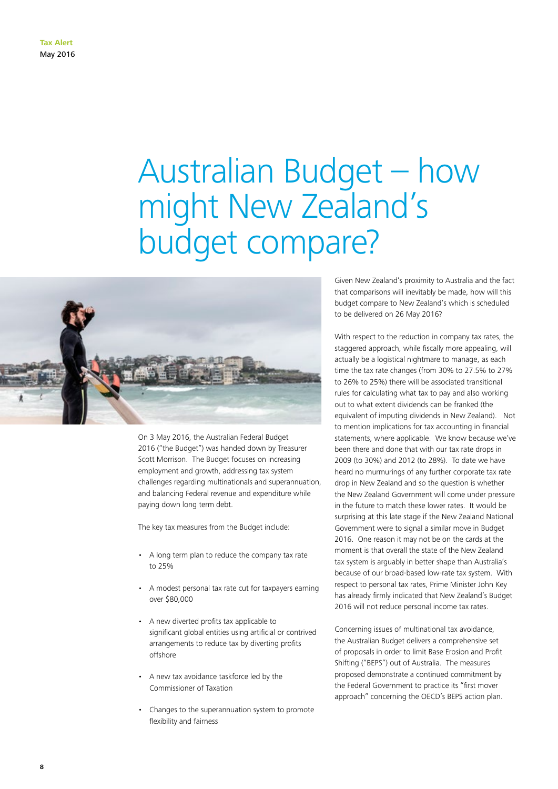## Australian Budget – how might New Zealand's budget compare?



On 3 May 2016, the Australian Federal Budget 2016 ("the Budget") was handed down by Treasurer Scott Morrison. The Budget focuses on increasing employment and growth, addressing tax system challenges regarding multinationals and superannuation, and balancing Federal revenue and expenditure while paying down long term debt.

The key tax measures from the Budget include:

- A long term plan to reduce the company tax rate to 25%
- A modest personal tax rate cut for taxpayers earning over \$80,000
- A new diverted profits tax applicable to significant global entities using artificial or contrived arrangements to reduce tax by diverting profits offshore
- A new tax avoidance taskforce led by the Commissioner of Taxation
- Changes to the superannuation system to promote flexibility and fairness

Given New Zealand's proximity to Australia and the fact that comparisons will inevitably be made, how will this budget compare to New Zealand's which is scheduled to be delivered on 26 May 2016?

With respect to the reduction in company tax rates, the staggered approach, while fiscally more appealing, will actually be a logistical nightmare to manage, as each time the tax rate changes (from 30% to 27.5% to 27% to 26% to 25%) there will be associated transitional rules for calculating what tax to pay and also working out to what extent dividends can be franked (the equivalent of imputing dividends in New Zealand). Not to mention implications for tax accounting in financial statements, where applicable. We know because we've been there and done that with our tax rate drops in 2009 (to 30%) and 2012 (to 28%). To date we have heard no murmurings of any further corporate tax rate drop in New Zealand and so the question is whether the New Zealand Government will come under pressure in the future to match these lower rates. It would be surprising at this late stage if the New Zealand National Government were to signal a similar move in Budget 2016. One reason it may not be on the cards at the moment is that overall the state of the New Zealand tax system is arguably in better shape than Australia's because of our broad-based low-rate tax system. With respect to personal tax rates, Prime Minister John Key has already firmly indicated that New Zealand's Budget 2016 will not reduce personal income tax rates.

Concerning issues of multinational tax avoidance, the Australian Budget delivers a comprehensive set of proposals in order to limit Base Erosion and Profit Shifting ("BEPS") out of Australia. The measures proposed demonstrate a continued commitment by the Federal Government to practice its "first mover approach" concerning the OECD's BEPS action plan.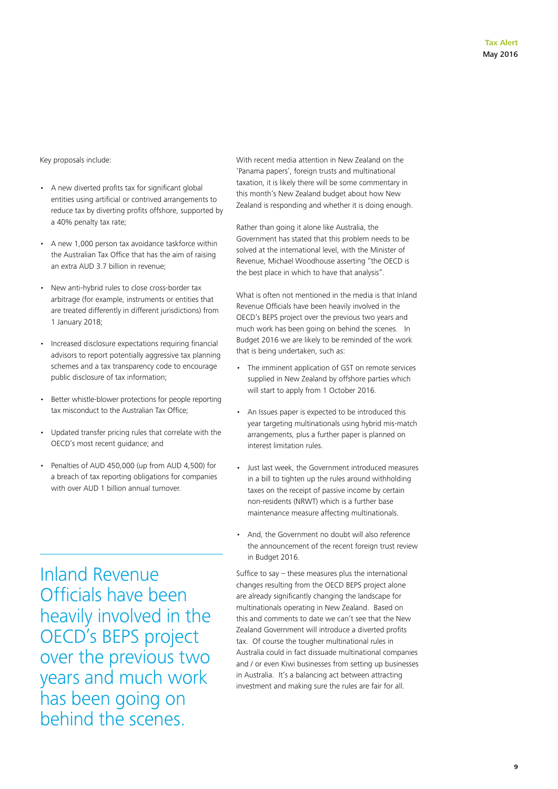Key proposals include:

- A new diverted profits tax for significant global entities using artificial or contrived arrangements to reduce tax by diverting profits offshore, supported by a 40% penalty tax rate;
- A new 1,000 person tax avoidance taskforce within the Australian Tax Office that has the aim of raising an extra AUD 3.7 billion in revenue;
- New anti-hybrid rules to close cross-border tax arbitrage (for example, instruments or entities that are treated differently in different jurisdictions) from 1 January 2018;
- Increased disclosure expectations requiring financial advisors to report potentially aggressive tax planning schemes and a tax transparency code to encourage public disclosure of tax information;
- Better whistle-blower protections for people reporting tax misconduct to the Australian Tax Office;
- Updated transfer pricing rules that correlate with the OECD's most recent guidance; and
- Penalties of AUD 450,000 (up from AUD 4,500) for a breach of tax reporting obligations for companies with over AUD 1 billion annual turnover.

With recent media attention in New Zealand on the 'Panama papers', foreign trusts and multinational taxation, it is likely there will be some commentary in this month's New Zealand budget about how New Zealand is responding and whether it is doing enough.

Rather than going it alone like Australia, the Government has stated that this problem needs to be solved at the international level, with the Minister of Revenue, Michael Woodhouse asserting "the OECD is the best place in which to have that analysis".

What is often not mentioned in the media is that Inland Revenue Officials have been heavily involved in the OECD's BEPS project over the previous two years and much work has been going on behind the scenes. In Budget 2016 we are likely to be reminded of the work that is being undertaken, such as:

- The imminent application of GST on remote services supplied in New Zealand by offshore parties which will start to apply from 1 October 2016.
- An Issues paper is expected to be introduced this year targeting multinationals using hybrid mis-match arrangements, plus a further paper is planned on interest limitation rules.
- Just last week, the Government introduced measures in a bill to tighten up the rules around withholding taxes on the receipt of passive income by certain non-residents (NRWT) which is a further base maintenance measure affecting multinationals.
- And, the Government no doubt will also reference the announcement of the recent foreign trust review in Budget 2016.

Suffice to say – these measures plus the international changes resulting from the OECD BEPS project alone are already significantly changing the landscape for multinationals operating in New Zealand. Based on this and comments to date we can't see that the New Zealand Government will introduce a diverted profits tax. Of course the tougher multinational rules in Australia could in fact dissuade multinational companies and / or even Kiwi businesses from setting up businesses in Australia. It's a balancing act between attracting investment and making sure the rules are fair for all.

Inland Revenue Officials have been heavily involved in the OECD's BEPS project over the previous two years and much work has been going on behind the scenes.